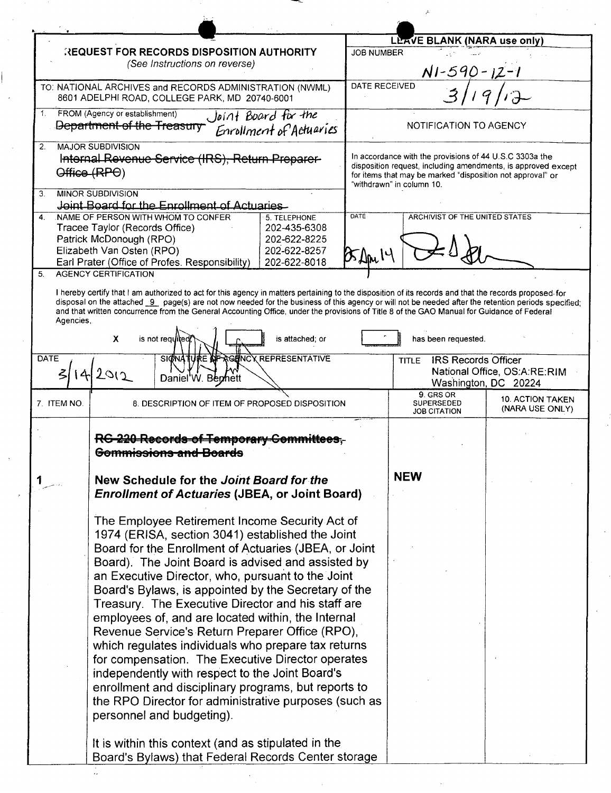|                                                                                                                                                                                                                                                                                                                                                                                                                                                                                                                                                                                                                                                                                        |                                                                                                                                                                                                                                                                                                                                                                                                                                                                                                                                                                                                                                                                                                                                                                                                            | LEAVE BLANK (NARA use only) |                                                                                                                                                                                                                     |                                                      |
|----------------------------------------------------------------------------------------------------------------------------------------------------------------------------------------------------------------------------------------------------------------------------------------------------------------------------------------------------------------------------------------------------------------------------------------------------------------------------------------------------------------------------------------------------------------------------------------------------------------------------------------------------------------------------------------|------------------------------------------------------------------------------------------------------------------------------------------------------------------------------------------------------------------------------------------------------------------------------------------------------------------------------------------------------------------------------------------------------------------------------------------------------------------------------------------------------------------------------------------------------------------------------------------------------------------------------------------------------------------------------------------------------------------------------------------------------------------------------------------------------------|-----------------------------|---------------------------------------------------------------------------------------------------------------------------------------------------------------------------------------------------------------------|------------------------------------------------------|
| <b>REQUEST FOR RECORDS DISPOSITION AUTHORITY</b><br>(See Instructions on reverse)                                                                                                                                                                                                                                                                                                                                                                                                                                                                                                                                                                                                      |                                                                                                                                                                                                                                                                                                                                                                                                                                                                                                                                                                                                                                                                                                                                                                                                            | <b>JOB NUMBER</b>           |                                                                                                                                                                                                                     |                                                      |
|                                                                                                                                                                                                                                                                                                                                                                                                                                                                                                                                                                                                                                                                                        |                                                                                                                                                                                                                                                                                                                                                                                                                                                                                                                                                                                                                                                                                                                                                                                                            | $N1 - 590 - 12 - 1$         |                                                                                                                                                                                                                     |                                                      |
|                                                                                                                                                                                                                                                                                                                                                                                                                                                                                                                                                                                                                                                                                        | TO: NATIONAL ARCHIVES and RECORDS ADMINISTRATION (NWML)<br>8601 ADELPHI ROAD, COLLEGE PARK, MD 20740-6001                                                                                                                                                                                                                                                                                                                                                                                                                                                                                                                                                                                                                                                                                                  | DATE RECEIVED               | 3/191                                                                                                                                                                                                               |                                                      |
| 1.                                                                                                                                                                                                                                                                                                                                                                                                                                                                                                                                                                                                                                                                                     | FROM (Agency or establishment)<br>Joint Board for the<br>Department of the Treasury<br>Enrollment of Actueries                                                                                                                                                                                                                                                                                                                                                                                                                                                                                                                                                                                                                                                                                             |                             | NOTIFICATION TO AGENCY                                                                                                                                                                                              |                                                      |
| 2 <sup>1</sup>                                                                                                                                                                                                                                                                                                                                                                                                                                                                                                                                                                                                                                                                         | <b>MAJOR SUBDIVISION</b><br>Internal Revenue Service (IRS), Return Preparer-<br>Office (RPO)                                                                                                                                                                                                                                                                                                                                                                                                                                                                                                                                                                                                                                                                                                               |                             | In accordance with the provisions of 44 U.S.C 3303a the<br>disposition request, including amendments, is approved except<br>for items that may be marked "disposition not approval" or<br>"withdrawn" in column 10. |                                                      |
| 3.                                                                                                                                                                                                                                                                                                                                                                                                                                                                                                                                                                                                                                                                                     | <b>MINOR SUBDIVISION</b><br>Joint Board for the Enrollment of Actuaries                                                                                                                                                                                                                                                                                                                                                                                                                                                                                                                                                                                                                                                                                                                                    |                             |                                                                                                                                                                                                                     |                                                      |
| $\overline{4}$                                                                                                                                                                                                                                                                                                                                                                                                                                                                                                                                                                                                                                                                         | NAME OF PERSON WITH WHOM TO CONFER<br>5. TELEPHONE<br>Tracee Taylor (Records Office)<br>202-435-6308<br>Patrick McDonough (RPO)<br>202-622-8225<br>202-622-8257<br>Elizabeth Van Osten (RPO)<br>202-622-8018<br>Earl Prater (Office of Profes. Responsibility)                                                                                                                                                                                                                                                                                                                                                                                                                                                                                                                                             | <b>DATE</b>                 | ARCHIVIST OF THE UNITED STATES                                                                                                                                                                                      |                                                      |
| 5.<br><b>AGENCY CERTIFICATION</b><br>I hereby certify that I am authorized to act for this agency in matters pertaining to the disposition of its records and that the records proposed for<br>disposal on the attached 9 page(s) are not now needed for the business of this agency or will not be needed after the retention periods specified:<br>and that written concurrence from the General Accounting Office, under the provisions of Title 8 of the GAO Manual for Guidance of Federal<br>Agencies,<br>$\mathbf{x}$<br>is not requited<br>is attached; or<br>has been requested.<br><b>AGENCY REPRESENTATIVE</b><br><b>DATE</b><br>SIGNATURE AF<br><b>IRS Records Officer</b> |                                                                                                                                                                                                                                                                                                                                                                                                                                                                                                                                                                                                                                                                                                                                                                                                            |                             |                                                                                                                                                                                                                     |                                                      |
| $\mathcal{Z}_1$                                                                                                                                                                                                                                                                                                                                                                                                                                                                                                                                                                                                                                                                        | 142012<br>Daniel'W. Benhett                                                                                                                                                                                                                                                                                                                                                                                                                                                                                                                                                                                                                                                                                                                                                                                |                             | <b>TITLE</b>                                                                                                                                                                                                        | National Office, OS:A:RE:RIM<br>Washington, DC 20224 |
| 7. ITEM NO.                                                                                                                                                                                                                                                                                                                                                                                                                                                                                                                                                                                                                                                                            | 8. DESCRIPTION OF ITEM OF PROPOSED DISPOSITION                                                                                                                                                                                                                                                                                                                                                                                                                                                                                                                                                                                                                                                                                                                                                             |                             | 9. GRS OR<br><b>SUPERSEDED</b><br><b>JOB CITATION</b>                                                                                                                                                               | <b>10. ACTION TAKEN</b><br>(NARA USE ONLY)           |
|                                                                                                                                                                                                                                                                                                                                                                                                                                                                                                                                                                                                                                                                                        | RG-220-Records-of-Temporary-Gemmittees.<br><del>Gommissions and Boards</del>                                                                                                                                                                                                                                                                                                                                                                                                                                                                                                                                                                                                                                                                                                                               |                             |                                                                                                                                                                                                                     |                                                      |
|                                                                                                                                                                                                                                                                                                                                                                                                                                                                                                                                                                                                                                                                                        | New Schedule for the Joint Board for the<br><b>Enrollment of Actuaries (JBEA, or Joint Board)</b>                                                                                                                                                                                                                                                                                                                                                                                                                                                                                                                                                                                                                                                                                                          |                             | <b>NEW</b>                                                                                                                                                                                                          |                                                      |
|                                                                                                                                                                                                                                                                                                                                                                                                                                                                                                                                                                                                                                                                                        | The Employee Retirement Income Security Act of<br>1974 (ERISA, section 3041) established the Joint<br>Board for the Enrollment of Actuaries (JBEA, or Joint<br>Board). The Joint Board is advised and assisted by<br>an Executive Director, who, pursuant to the Joint<br>Board's Bylaws, is appointed by the Secretary of the<br>Treasury. The Executive Director and his staff are<br>employees of, and are located within, the Internal<br>Revenue Service's Return Preparer Office (RPO),<br>which regulates individuals who prepare tax returns<br>for compensation. The Executive Director operates<br>independently with respect to the Joint Board's<br>enrollment and disciplinary programs, but reports to<br>the RPO Director for administrative purposes (such as<br>personnel and budgeting). |                             |                                                                                                                                                                                                                     |                                                      |
|                                                                                                                                                                                                                                                                                                                                                                                                                                                                                                                                                                                                                                                                                        | It is within this context (and as stipulated in the<br>Board's Bylaws) that Federal Records Center storage                                                                                                                                                                                                                                                                                                                                                                                                                                                                                                                                                                                                                                                                                                 |                             |                                                                                                                                                                                                                     |                                                      |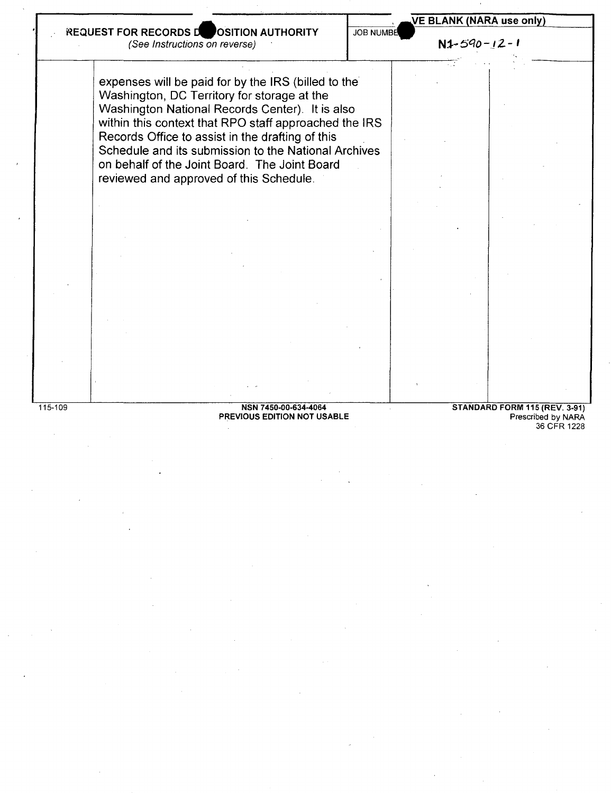

PREVIOUS EDITION NOT USABLE

36 CFR 1228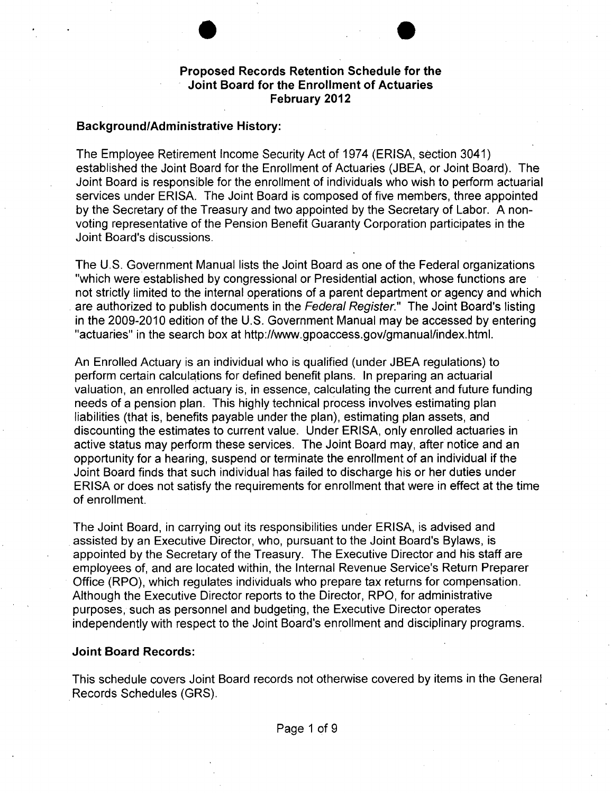

# **Background/Administrative History:**

The Employee Retirement Income Security Act of 1974 (ERISA, section 3041) established the Joint Board for the Enrollment of Actuaries (JBEA, or Joint Board). The Joint Board is responsible for the enrollment of individuals who wish to perform actuarial services under ERISA. The Joint Board is composed of five members, three appointed by the Secretary of the Treasury and two appointed by the Secretary of Labor. A nonvoting representative of the Pension Benefit Guaranty Corporation participates in the Joint Board's discussions.

The U.S. Government Manual lists the Joint Board as one of the Federal organizations "which were established by congressional or Presidential action, whose functions are not strictly limited to the internal operations of a parent department or agency and which are authorized to publish documents in the Federal Register." The Joint Board's listing in the 2009-2010 edition of the U.S. Government Manual may be accessed by entering "actuaries" in the search box at http://www.gpoaccess.gov/gmanual/index.html.

An Enrolled Actuary is an individual who is qualified (under JBEA regulations) to perform certain calculations for defined benefit plans. In preparing an actuarial valuation, an enrolled actuary is, in essence, calculating the current and future funding needs of a pension plan. This highly technical process involves estimating plan liabilities (that is, benefits payable under the plan), estimating plan assets, and discounting the estimates to current value. Under ERISA, only enrolled actuaries in active status may perform these services. The Joint Board may, after notice and an opportunity for a hearing, suspend or terminate the enrollment of an individual if the Joint Board finds that such individual has failed to discharge his or her duties under ERISA or does not satisfy the requirements for enrollment that were in effect at the time of enrollment.

The Joint Board, in carrying out its responsibilities under ERISA, is advised and assisted by an Executive Director, who, pursuant to the Joint Board's Bylaws, is appointed by the Secretary of the Treasury. The Executive Director and his staff are employees of, and are located within, the Internal Revenue Service's Return Preparer Office (RPO), which regulates individuals who prepare tax returns for compensation. Although the Executive Director reports to the Director, RPO, for administrative purposes, such as personnel and budgeting, the Executive Director operates independently with respect to the Joint Board's enrollment and disciplinary programs.

#### **Joint Board Records:**

This schedule covers Joint Board records not otherwise covered by items in the General Records Schedules (GRS).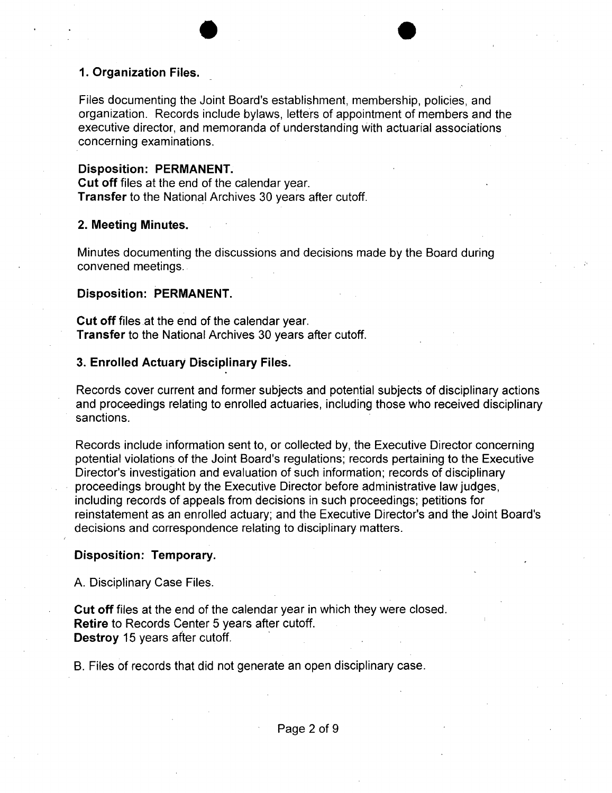# **1. Organization Files.**

Files documenting the Joint Board's establishment, membership, policies, and organization. Records include bylaws, letters of appointment of members and the executive director, and memoranda of understanding with actuarial associations concerning examinations.

# **Disposition: PERMANENT.**

**Cut off** files at the end of the calendar year. **Transfer** to the National Archives 30 years after cutoff.

#### **2. Meeting Minutes.**

Minutes documenting the discussions and decisions made by the Board during convened meetings.

#### **Disposition: PERMANENT.**

**Cut off** files .at the end of the calendar year. **Transfer** to the National Archives 30 years after cutoff.

### **3. Enrolled Actuary Disciplinary Files.**

Records cover current and former subjects and potential subjects of disciplinary actions and proceedings relating to enrolled actuaries, including those who received disciplinary sanctions.

Records include information sent to, or collected by, the Executive Director concerning potential violations of the Joint Board's regulations; records pertaining to the Executive Director's investigation and evaluation of such information; records of disciplinary proceedings brought by the Executive Director before administrative law judges, including records of appeals from decisions in such proceedings; petitions for reinstatement as an enrolled actuary; and the Executive Director's and the Joint Board's decisions and correspondence relating to disciplinary matters.

### **Disposition: Temporary.**

A. Disciplinary Case Files.

**Cut off** files at the end of the calendar year in which they were closed. **Retire** to Records Center 5 years after cutoff. **Destroy 15 years after cutoff.** 

B. Files of records that did not generate an open disciplinary case.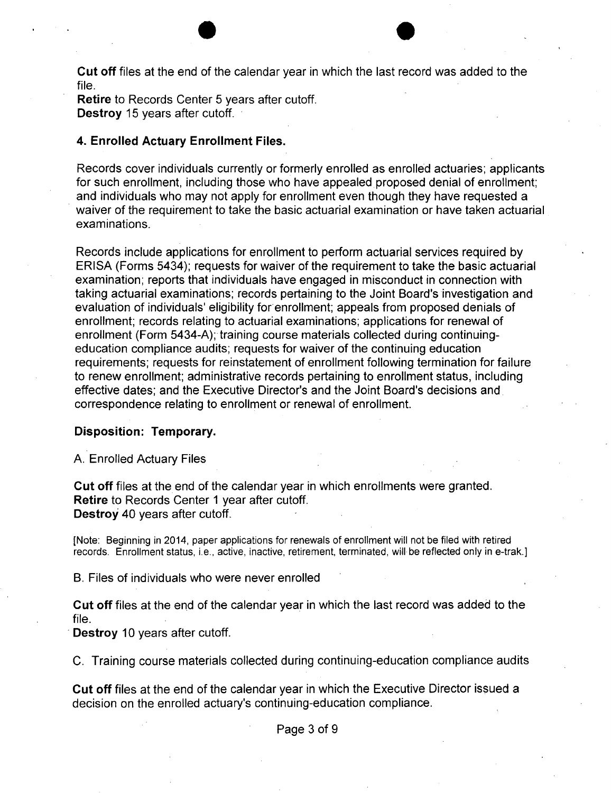**Cut off** files at the end of the calendar year in which the last record was added to the file.

**Retire** to Records Center 5 years after cutoff. **Destroy** 15 years after cutoff.

# **4. Enrolled Actuary Enrollment Files.**

Records cover individuals currently or formerly enrolled as enrolled actuaries; applicants for such enrollment, including those who have appealed proposed denial of enrollment; and individuals who may not apply for enrollment even though they have requested a waiver of the requirement to take the basic actuarial examination or have taken actuarial examinations.

Records include applications for enrollment to perform actuarial services required by ERISA (Forms 5434); requests for waiver of the requirement to take the basic actuarial examination; reports that individuals have engaged in misconduct in connection with taking actuarial examinations; records pertaining to the Joint Board's investigation and evaluation of individuals' eligibility for enrollment; appeals from proposed denials of enrollment; records relating to actuarial examinations; applications for renewal of enrollment (Form 5434-A); training course materials collected during continuingeducation compliance audits; requests for waiver of the continuing education requirements; requests for reinstatement of enrollment following termination for failure to renew enrollment; administrative records pertaining to enrollment status, including effective dates; and the Executive Director's and the Joint Board's decisions and correspondence relating to enrollment or renewal of enrollment.

### **Disposition: Temporary.**

A. Enrolled Actuary Files

**Cut off** files at the end of the calendar year in which enrollments were granted. **Retire** to Records Center 1 year after cutoff. **Destroy** 40 years after cutoff.

[Note: Beginning in 2014, paper applications for renewals of enrollment will not be filed with retired records. Enrollment status, i.e., active, inactive, retirement, terminated, will be reflected only in e-trak.]

B. Files of individuals who were never enrolled

**Cut off** files at the end of the calendar year in which the last record was added to the file.

**Destroy 10 years after cutoff.** 

C. Training course materials collected during continuing-education compliance audits

**Cut off** files at the end of the calendar year in which the Executive Director issued a decision on the enrolled actuary's continuing-education compliance.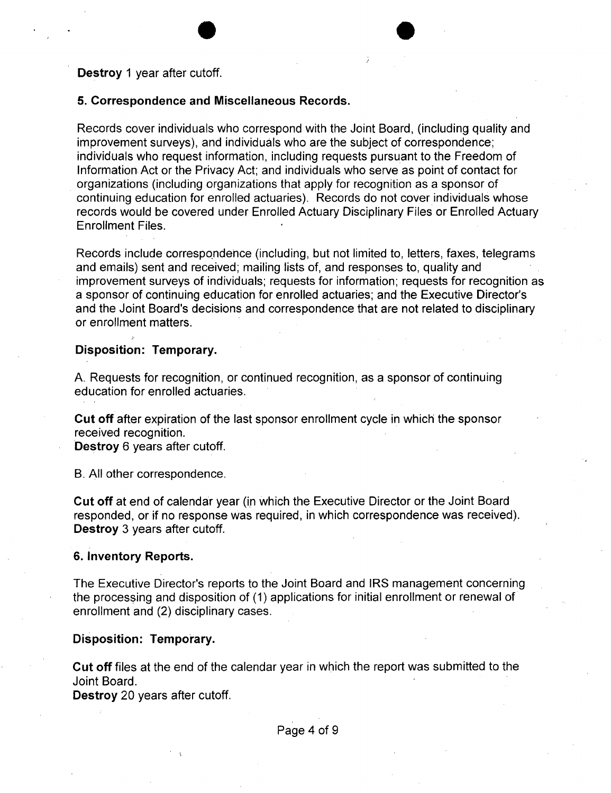**Destroy** 1 year after cutoff.

### **5. Correspondence and Miscellaneous Records.**

Records cover individuals who correspond with the Joint Board, (including quality and improvement surveys), and individuals who are the subject of correspondence; individuals who request information, including requests pursuant to the Freedom of Information Act or the Privacy Act; and individuals who serve as point of contact for organizations (including organizations that apply for recognition as a sponsor of continuing education for enrolled actuaries). Records do not cover individuals whose records would be covered under Enrolled Actuary Disciplinary Files or Enrolled Actuary Enrollment Files.

Records include correspondence (including, but not limited to, letters, faxes, telegrams and emails) sent and received; mailing lists of, and responses to, quality and improvement surveys of individuals; requests for information; requests for recognition as a sponsor of continuing education for enrolled actuaries; and the Executive Director's and the Joint Board's decisions and correspondence that are not related to disciplinary or enrollment matters.

### **Disposition: Temporary.**

A. Requests for recognition, or continued recognition, as a sponsor of continuing education for enrolled actuaries.

**Cut off** after expiration of the last sponsor enrollment cycle in which the sponsor received recognition.

**Destroy** 6 years after cutoff.

B. All other correspondence.

**Cut off** at end of calendar year (ip which the Executive Director or the Joint Board responded, or if no response was required, in which correspondence was received). **Destroy** 3 years after cutoff.

#### **6. Inventory Reports.**

The Executive Director's reports to the Joint Board and IRS management concerning the processing and disposition of (1) applications for initial enrollment or renewal of enrollment and (2) disciplinary cases.

### **Disposition: Temporary.**

**Cut off** files at the end of the calendar year in which the report was submitted to the Joint Board.

**Destroy** 20 years after cutoff.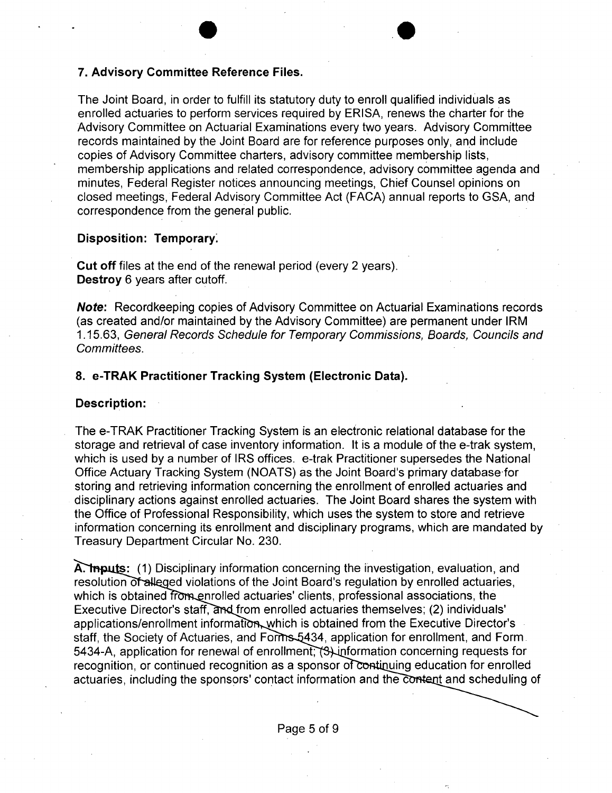### **7. Advisory Committee Reference Files.**

The Joint Board, in order to fulfill its statutory duty to enroll qualified individuals as enrolled actuaries to perform services required by ERISA, renews the charter for the Advisory Committee on Actuarial Examinations every two years. Advisory Committee records maintained by the Joint Board are for reference purposes only, and include copies of Advisory Committee charters, advisory committee membership lists, membership applications and related correspondence, advisory committee agenda and minutes, Federal Register notices announcing meetings, Chief Counsel opinions on closed meetings, Federal Advisory Committee Act (FACA) annual reports to GSA, and correspondence from the general public.

**.e** 

#### **Disposition: Temporary:**

**Cut off** files at the end of the renewal period (every 2 years). **Destroy** 6 years after cutoff.

**Note:** Recordkeeping copies of Advisory Committee on Actuarial Examinations records (as created and/or maintained by the Advisory Committee) are permanent under IRM 1.15.63, General Records Schedule for Temporary Commissions, Boards, Councils and Committees.

# **8. e-TRAK Practitioner Tracking System (Electronic Data).**

#### **Description:**

The e-TRAK Practitioner Tracking System is an electronic relational database for the storage and retrieval of case inventory information. It is a module of the e-trak system, which is used by a number of IRS offices. e-trak Practitioner supersedes the National Office Actuary Tracking System (NOATS) as the Joint Board's primary database·for storing and retrieving information concerning the enrollment of enrolled actuaries and disciplinary actions against enrolled actuaries. The Joint Board shares the system with the Office of Professional Responsibility, which uses the system to store and retrieve information concerning its enrollment and disciplinary programs, which are mandated by Treasury Department Circular No. 230.

A. The state: (1) Disciplinary information concerning the investigation, evaluation, and resolution of alleged violations of the Joint Board's regulation by enrolled actuaries, which is obtained from enrolled actuaries' clients, professional associations, the Executive Director's staff, and from enrolled actuaries themselves; (2) individuals' applications/enrollment information, which is obtained from the Executive Director's staff, the Society of Actuaries, and Forms 5434, application for enrollment, and Form. 5434-A, application for renewal of enrollment;  $\beta$  information concerning requests for recognition, or continued recognition as a sponsor of continuing education for enrolled actuaries, including the sponsors' contact information and the content and scheduling of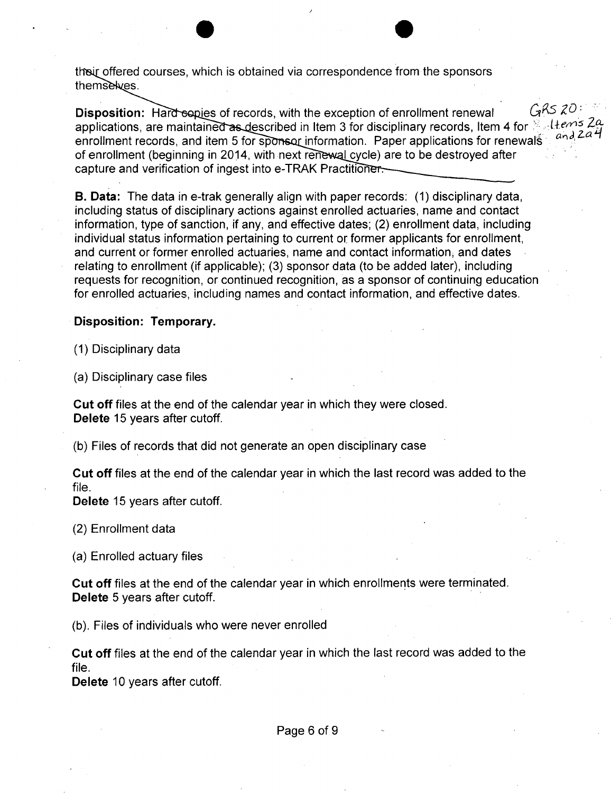their offered courses, which is obtained via correspondence from the sponsors themselves.

**Disposition:** Hard espies of records, with the exception of enrollment renewal  $GRS$   $RO$ : applications, are maintained as described in Item 3 for disciplinary records, Item 4 for  $\frac{1}{2}$ , ltems  $2a$ enrollment records, and item 5 for sponsor information. Paper applications for renewals of enrollment (beginning in 2014, with next renewal cycle) are to be destroyed after capture and verification of ingest into e-TRAK Practitioner.

**B. Data:** The data in e-trak generally align with paper records: (1) disciplinary data, including status of disciplinary actions against enrolled actuaries, name and contact information, type of sanction, if any, and effective dates; (2) enrollment data, including individual status information pertaining to current or former applicants for enrollment, and current or former enrolled actuaries, name and contact information; and dates relating to enrollment (if applicable); (3) sponsor data (to be added later), including requests for recognition, or continued recognition, as a sponsor of continuing education for enrolled actuaries, including names and contact information, and effective dates.

# **Disposition: Temporary.**

(1) Disciplinary data

(a) Disciplinary case files

**Cut off** files at the end of the calendar year in which they were closed. **Delete** 15 years after cutoff.

(b) Files of records that did not generate an open disciplinary case

**Cut off** files at the end of the calendar year in which the last record was added to the file.

**Delete** 15 years after cutoff.

(2) Enrollment data

(a) Enrolled actuary files

**Cut off** files at the end of the calendar year in which enrollments were terminated. **Delete** 5 years after cutoff.

(b). Files of individuals who were never enrolled

**Cut off** files at the end of the calendar year in which the last record was added to the file.

**Delete** 10 years after cutoff.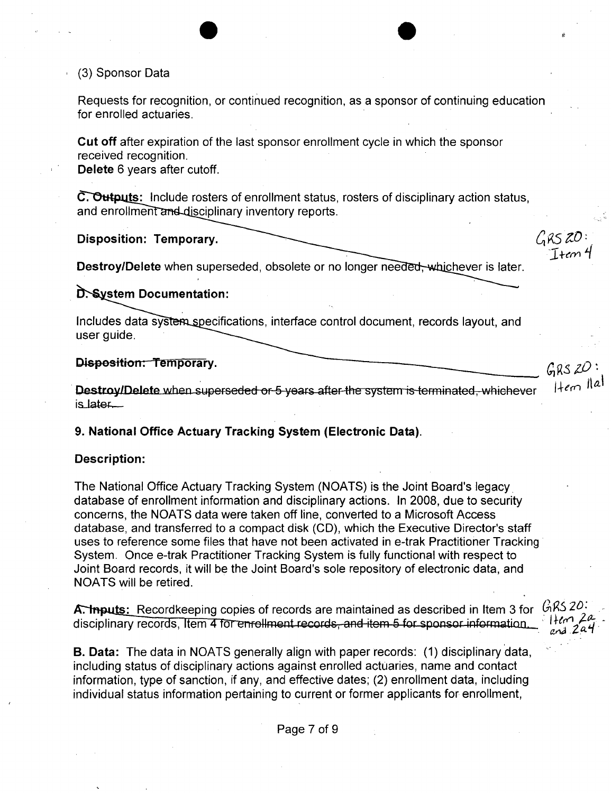# , (3) Sponsor Data

Requests for recognition, or continued recognition, as a sponsor of continuing education for enrolled actuaries.

**Cut off** after expiration of the last sponsor enrollment cycle in which the sponsor received recognition.

**Delete** 6 years after cutoff.

**C. Outputs:** Include rosters of enrollment status, rosters of disciplinary action status, and enrollment and disciplinary inventory reports.

**Disposition: Temporary.** 

**Destroy/Delete** when superseded, obsolete or no longer needed, whichever is later.

 $GRS$  20:<br>Ttem 4

D. System Documentation:

Includes data system specifications, interface control document, records layout, and user guide.

**Disposition: Temporary.**<br> **Destrov/Delete** when superceded or 5 years ofter the material designed which such a literal literation Destroy/Delete when superseded or 5 years after the system is terminated, whichever is.later.

**9. National Office Actuary Tracking System (Electronic Data).** 

### **Description:**

The National Office Actuary Tracking System (NOATS) is the Joint Board's legacy. database of enrollment information and disciplinary actions. In 2008, due to security concerns, the NOATS data were taken off line, converted to a Microsoft Access database, and transferred to a compact disk (CD), which the Executive Director's staff uses to reference some files that have not been activated in e-trak Practitioner Tracking System. Once e-trak Practitioner Tracking System is fully functional with respect to Joint Board records, it will be the Joint Board's sole repository of electronic data, and NOATS will be retired.

**A. Inputs:** Recordkeeping copies of records are maintained as described in Item 3 for  $6.622$ .<br>discipling records Item 4 form allmant records and item 5 for a granites when  $\frac{11}{2}$ disciplinary records, Item 4 for enrollment records, and item 5 for sponsor information.... Item Zah

**B. Data:** The data in NOATS generally align with paper records: (1) disciplinary data, including status of disciplinary actions against enrolled actuaries, name and contact information, type of sanction, if any, and effective dates; (2) enrollment data, including individual status information pertaining to current or former applicants for enrollment,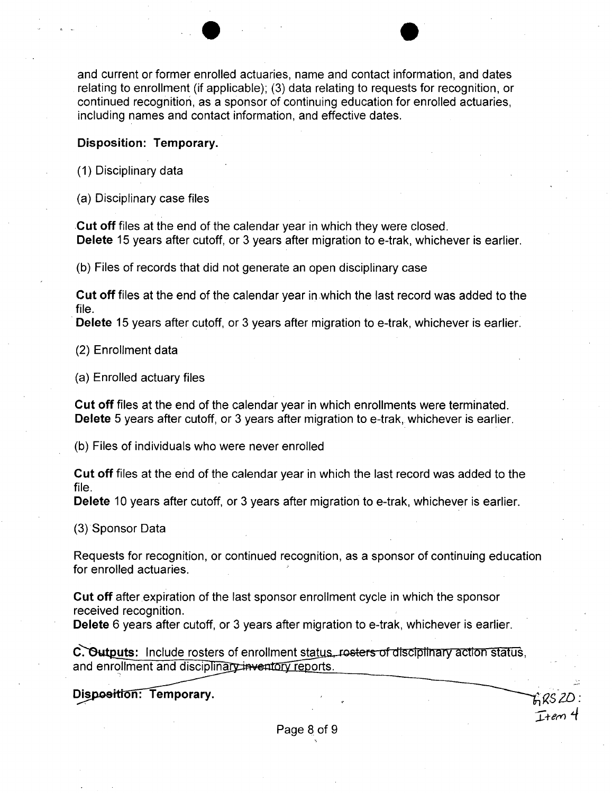and current or former enrolled actuaries, name and contact information, and dates relating to enrollment (if applicable); (3) data relating to requests for recognition, or continued recognition, as a sponsor of continuing education for enrolled actuaries, including names and contact information, and effective dates.

### **Disposition: Temporary.**

(1) Disciplinary data

(a) Disciplinary case files

**Cut off** files at the end of the calendar year in which they were closed. **Delete** 15 years after cutoff, or 3 years after migration to e-trak, whichever is earlier.

(b) Files of records that did not generate an open disciplinary case

**Cut off** files at the end of the calendar year in .which the last record was added to the file.

**Delete** 15 years after cutoff, or 3 years after migration to e-trak, whichever is earlier.

(2) Enrollment data

(a) Enrolled actuary files

**Cut off** files at the end of the calendar year in which enrollments were terminated. **Delete** 5 years after cutoff, or 3 years after migration to e-trak, whichever is earlier.

(b) Files of individuals who were never enrolled

**Cut off** files at the end of the calendar year in which the last record was added to the file.

**Delete** 10 years after cutoff, or 3 years after migration to e-trak, whichever is earlier.

(3) Sponsor Data

Requests for recognition, or continued recognition, as a sponsor of continuing education for enrolled actuaries.

**Cut off** after expiration of the last sponsor enrollment cycle in which the sponsor received recognition.

**Delete** 6 years after cutoff, or 3 years after migration to e-trak, whichever is earlier.

**C. Outputs:** Include rosters of enrollment status, rosters of disciplinary action status, and enrollment and disciplinary inventory reports.

Disposition: Temporary.

 $T$ +em 4